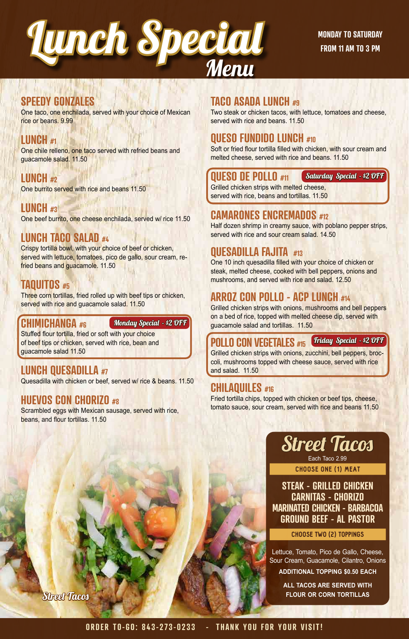

## **SPEEDY GONZALES**

One taco, one enchilada, served with your choice of Mexican rice or beans. 9.99

#### **LUNCH #1**

One chile relleno, one taco served with refried beans and guacamole salad. 11.50

# **LUNCH #2**

One burrito served with rice and beans 11.50

**LUNCH #3** One beef burrito, one cheese enchilada, served w/ rice 11.50

# **LUNCH TACO SALAD #4**

Crispy tortilla bowl, with your choice of beef or chicken, served with lettuce, tomatoes, pico de gallo, sour cream, refried beans and guacamole. 11.50

## **TAQUITOS #5**

Three corn tortillas, fried rolled up with beef tips or chicken, served with rice and guacamole salad. 11.50

#### **CHIMICHANGA #6**

**Monday Special - \$2 OFF** 

Stuffed flour tortilla, fried or soft with your choice of beef tips or chicken, served with rice, bean and guacamole salad 11.50

## **LUNCH QUESADILLA #7**

Quesadilla with chicken or beef, served w/ rice & beans. 11.50

#### **HUEVOS CON CHORIZO #8**

Scrambled eggs with Mexican sausage, served with rice, beans, and flour tortillas. 11.50

#### **TACO ASADA LUNCH #9**

Two steak or chicken tacos, with lettuce, tomatoes and cheese, served with rice and beans. 11.50

# **QUESO FUNDIDO LUNCH #10**

Soft or fried flour tortilla filled with chicken, with sour cream and melted cheese, served with rice and beans. 11.50

#### **QUESO DE POLLO #11**

Saturday Special - \$2 OFF

Grilled chicken strips with melted cheese, served with rice, beans and tortillas. 11.50

## **CAMARONES ENCREMADOS #12**

Half dozen shrimp in creamy sauce, with poblano pepper strips, served with rice and sour cream salad. 14.50

#### **QUESADILLA FAJITA #13**

One 10 inch quesadilla filled with your choice of chicken or steak, melted cheese, cooked with bell peppers, onions and mushrooms, and served with rice and salad. 12.50

# **ARROZ CON POLLO - ACP LUNCH #14**

Grilled chicken strips with onions, mushrooms and bell peppers on a bed of rice, topped with melted cheese dip, served with guacamole salad and tortillas. 11.50

**POLLO CON VEGETALES** #15 *Triday Special - \$2 OF F* 

Grilled chicken strips with onions, zucchini, bell peppers, broccoli, mushrooms topped with cheese sauce, served with rice and salad. 11.50

## **CHILAQUILES #16**

Fried tortilla chips, topped with chicken or beef tips, cheese, tomato sauce, sour cream, served with rice and beans 11.50



CHOOSE ONE (1) MEAT Each Taco 2.99

**STEAK - GRILLED CHICKEN CARNITAS - CHORIZO MARINATED CHICKEN - BARBACOA GROUND BEEF - AL PASTOR**

#### CHOOSE TWO (2) TOPPINGS

Lettuce, Tomato, Pico de Gallo, Cheese, Sour Cream, Guacamole, Cilantro, Onions **ADDITIONAL TOPPING \$0.50 EACH**

> **ALL TACOS ARE SERVED WITH FLOUR OR CORN TORTILLAS**

Street Tacos